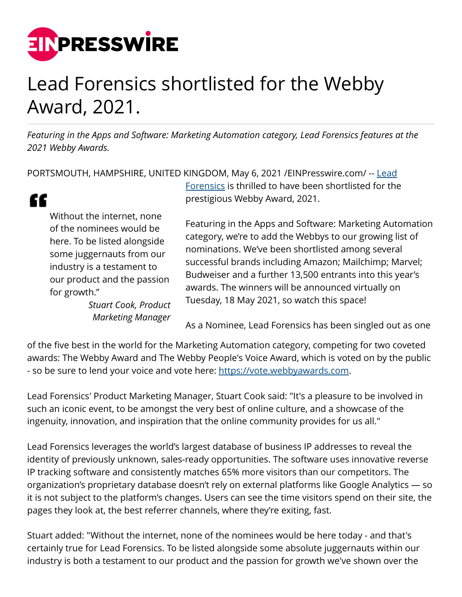

## Lead Forensics shortlisted for the Webby Award, 2021.

*Featuring in the Apps and Software: Marketing Automation category, Lead Forensics features at the 2021 Webby Awards.*

PORTSMOUTH, HAMPSHIRE, UNITED KINGDOM, May 6, 2021 / EINPresswire.com/ -- [Lead](https://www.leadforensics.com/)

"

Without the internet, none of the nominees would be here. To be listed alongside some juggernauts from our industry is a testament to our product and the passion for growth."

> *Stuart Cook, Product Marketing Manager*

[Forensics](https://www.leadforensics.com/) is thrilled to have been shortlisted for the prestigious Webby Award, 2021.

Featuring in the Apps and Software: Marketing Automation category, we're to add the Webbys to our growing list of nominations. We've been shortlisted among several successful brands including Amazon; Mailchimp; Marvel; Budweiser and a further 13,500 entrants into this year's awards. The winners will be announced virtually on Tuesday, 18 May 2021, so watch this space!

As a Nominee, Lead Forensics has been singled out as one

of the five best in the world for the Marketing Automation category, competing for two coveted awards: The Webby Award and The Webby People's Voice Award, which is voted on by the public - so be sure to lend your voice and vote here: [https://vote.webbyawards.com.](https://vote.webbyawards.com)

Lead Forensics' Product Marketing Manager, Stuart Cook said: "It's a pleasure to be involved in such an iconic event, to be amongst the very best of online culture, and a showcase of the ingenuity, innovation, and inspiration that the online community provides for us all."

Lead Forensics leverages the world's largest database of business IP addresses to reveal the identity of previously unknown, sales-ready opportunities. The software uses innovative reverse IP tracking software and consistently matches 65% more visitors than our competitors. The organization's proprietary database doesn't rely on external platforms like Google Analytics — so it is not subject to the platform's changes. Users can see the time visitors spend on their site, the pages they look at, the best referrer channels, where they're exiting, fast.

Stuart added: "Without the internet, none of the nominees would be here today - and that's certainly true for Lead Forensics. To be listed alongside some absolute juggernauts within our industry is both a testament to our product and the passion for growth we've shown over the